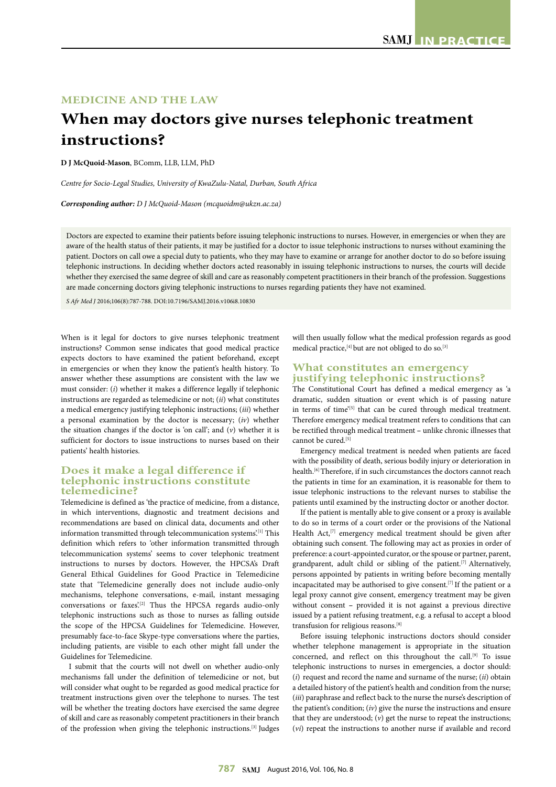# **MEDICINE AND THE LAW**

# **When may doctors give nurses telephonic treatment instructions?**

**D J McQuoid-Mason**, BComm, LLB, LLM, PhD

*Centre for Socio-Legal Studies, University of KwaZulu-Natal, Durban, South Africa*

*Corresponding author: D J McQuoid-Mason (mcquoidm@ukzn.ac.za)*

Doctors are expected to examine their patients before issuing telephonic instructions to nurses. However, in emergencies or when they are aware of the health status of their patients, it may be justified for a doctor to issue telephonic instructions to nurses without examining the patient. Doctors on call owe a special duty to patients, who they may have to examine or arrange for another doctor to do so before issuing telephonic instructions. In deciding whether doctors acted reasonably in issuing telephonic instructions to nurses, the courts will decide whether they exercised the same degree of skill and care as reasonably competent practitioners in their branch of the profession. Suggestions are made concerning doctors giving telephonic instructions to nurses regarding patients they have not examined.

*S Afr Med J* 2016;106(8):787-788. DOI:10.7196/SAMJ.2016.v106i8.10830

When is it legal for doctors to give nurses telephonic treatment instructions? Common sense indicates that good medical practice expects doctors to have examined the patient beforehand, except in emergencies or when they know the patient's health history. To answer whether these assumptions are consistent with the law we must consider: (*i*) whether it makes a difference legally if telephonic instructions are regarded as telemedicine or not; (*ii*) what constitutes a medical emergency justifying telephonic instructions; (*iii*) whether a personal examination by the doctor is necessary; (*iv*) whether the situation changes if the doctor is 'on call'; and (*v*) whether it is sufficient for doctors to issue instructions to nurses based on their patients' health histories.

## **Does it make a legal difference if telephonic instructions constitute telemedicine?**

Telemedicine is defined as 'the practice of medicine, from a distance, in which interventions, diagnostic and treatment decisions and recommendations are based on clinical data, documents and other information transmitted through telecommunication systems'.<sup>[1]</sup> This definition which refers to 'other information transmitted through telecommunication systems' seems to cover telephonic treatment instructions to nurses by doctors. However, the HPCSA's Draft General Ethical Guidelines for Good Practice in Telemedicine state that 'Telemedicine generally does not include audio-only mechanisms, telephone conversations, e-mail, instant messaging conversations or faxes'.<sup>[2]</sup> Thus the HPCSA regards audio-only telephonic instructions such as those to nurses as falling outside the scope of the HPCSA Guidelines for Telemedicine. However, presumably face-to-face Skype-type conversations where the parties, including patients, are visible to each other might fall under the Guidelines for Telemedicine.

I submit that the courts will not dwell on whether audio-only mechanisms fall under the definition of telemedicine or not, but will consider what ought to be regarded as good medical practice for treatment instructions given over the telephone to nurses. The test will be whether the treating doctors have exercised the same degree of skill and care as reasonably competent practitioners in their branch of the profession when giving the telephonic instructions.[3] Judges

will then usually follow what the medical profession regards as good medical practice,  $[4]$  but are not obliged to do so.<sup>[3]</sup>

#### **What constitutes an emergency justifying telephonic instructions?**

The Constitutional Court has defined a medical emergency as 'a dramatic, sudden situation or event which is of passing nature in terms of time'<sup>[5]</sup> that can be cured through medical treatment. Therefore emergency medical treatment refers to conditions that can be rectified through medical treatment **–** unlike chronic illnesses that cannot be cured.[5]

Emergency medical treatment is needed when patients are faced with the possibility of death, serious bodily injury or deterioration in health.[6] Therefore, if in such circumstances the doctors cannot reach the patients in time for an examination, it is reasonable for them to issue telephonic instructions to the relevant nurses to stabilise the patients until examined by the instructing doctor or another doctor.

If the patient is mentally able to give consent or a proxy is available to do so in terms of a court order or the provisions of the National Health Act,<sup>[7]</sup> emergency medical treatment should be given after obtaining such consent. The following may act as proxies in order of preference: a court-appointed curator, or the spouse or partner, parent, grandparent, adult child or sibling of the patient.<sup>[7]</sup> Alternatively, persons appointed by patients in writing before becoming mentally incapacitated may be authorised to give consent.[7] If the patient or a legal proxy cannot give consent, emergency treatment may be given without consent **–** provided it is not against a previous directive issued by a patient refusing treatment, e.g. a refusal to accept a blood transfusion for religious reasons.[8]

Before issuing telephonic instructions doctors should consider whether telephone management is appropriate in the situation concerned, and reflect on this throughout the call.<sup>[9]</sup> To issue telephonic instructions to nurses in emergencies, a doctor should: (*i*) request and record the name and surname of the nurse; (*ii*) obtain a detailed history of the patient's health and condition from the nurse; (*iii*) paraphrase and reflect back to the nurse the nurse's description of the patient's condition; (*iv*) give the nurse the instructions and ensure that they are understood; (*v*) get the nurse to repeat the instructions; (*vi*) repeat the instructions to another nurse if available and record